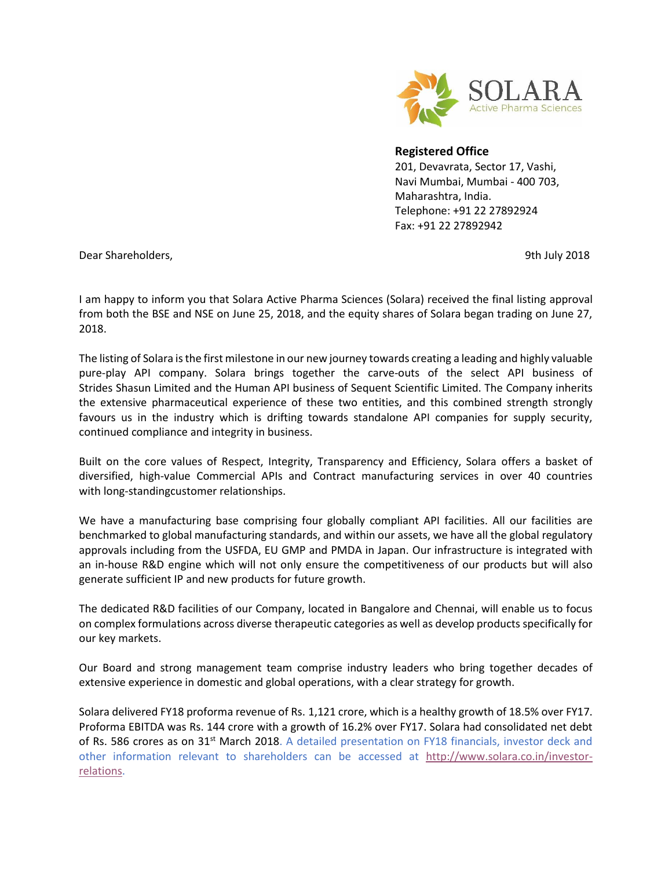

## **Registered Office**

201, Devavrata, Sector 17, Vashi, Navi Mumbai, Mumbai - 400 703, Maharashtra, India. Telephone: +91 22 27892924 Fax: +91 22 27892942

Dear Shareholders, 9th July 2018

I am happy to inform you that Solara Active Pharma Sciences (Solara) received the final listing approval from both the BSE and NSE on June 25, 2018, and the equity shares of Solara began trading on June 27, 2018.

The listing of Solara is the first milestone in our new journey towards creating a leading and highly valuable pure-play API company. Solara brings together the carve-outs of the select API business of Strides Shasun Limited and the Human API business of Sequent Scientific Limited. The Company inherits the extensive pharmaceutical experience of these two entities, and this combined strength strongly favours us in the industry which is drifting towards standalone API companies for supply security, continued compliance and integrity in business.

Built on the core values of Respect, Integrity, Transparency and Efficiency, Solara offers a basket of diversified, high-value Commercial APIs and Contract manufacturing services in over 40 countries with long-standingcustomer relationships.

We have a manufacturing base comprising four globally compliant API facilities. All our facilities are benchmarked to global manufacturing standards, and within our assets, we have all the global regulatory approvals including from the USFDA, EU GMP and PMDA in Japan. Our infrastructure is integrated with an in-house R&D engine which will not only ensure the competitiveness of our products but will also generate sufficient IP and new products for future growth.

The dedicated R&D facilities of our Company, located in Bangalore and Chennai, will enable us to focus on complex formulations across diverse therapeutic categories as well as develop products specifically for our key markets.

Our Board and strong management team comprise industry leaders who bring together decades of extensive experience in domestic and global operations, with a clear strategy for growth.

Solara delivered FY18 proforma revenue of Rs. 1,121 crore, which is a healthy growth of 18.5% over FY17. Proforma EBITDA was Rs. 144 crore with a growth of 16.2% over FY17. Solara had consolidated net debt of Rs. 586 crores as on 31<sup>st</sup> March 2018. A detailed presentation on FY18 financials, investor deck and other information relevant to shareholders can be accessed at [http://www.solara.co.in/investor](http://www.solara.co.in/investor-relations)[relations.](http://www.solara.co.in/investor-relations)